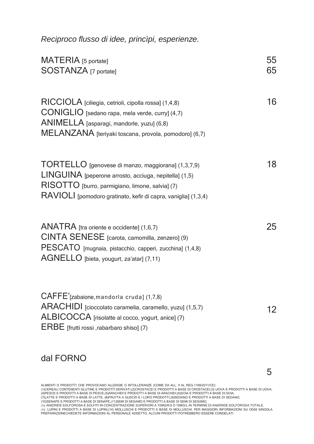*Reciproco flusso di idee, princìpi, esperienze.*

| MATERIA [5 portate]<br>SOSTANZA [7 portate]                                                                                                                                                                                      | 55<br>65 |
|----------------------------------------------------------------------------------------------------------------------------------------------------------------------------------------------------------------------------------|----------|
| RICCIOLA [ciliegia, cetrioli, cipolla rossa] (1,4,8)<br>CONIGLIO [sedano rapa, mela verde, curry] (4,7)<br>ANIMELLA [asparagi, mandorle, yuzu] (6,8)<br>MELANZANA [teriyaki toscana, provola, pomodoro] (6,7)                    | 16       |
| TORTELLO [genovese di manzo, maggiorana] (1,3,7,9)<br>LINGUINA [peperone arrosto, acciuga, nepitella] (1,5)<br>RISOTTO [burro, parmigiano, limone, salvia] (7)<br>RAVIOLI [pomodoro gratinato, kefir di capra, vaniglia] (1,3,4) | 18       |
| ANATRA [tra oriente e occidente] (1,6,7)<br>CINTA SENESE [carota, camomilla, zenzero] (9)<br>PESCATO [mugnaia, pistacchio, capperi, zucchina] (1,4,8)<br>AGNELLO [bieta, yougurt, za'atar] (7,11)                                | 25       |
| CAFFE'[zabaione, mandorla cruda] (1,7,8)<br>ARACHIDI [cioccolato caramelia, caramello, yuzu] (1,5,7)<br>ALBICOCCA [risolatte al cocco, yogurt, anice] (7)                                                                        | 12       |

ERBE [frutti rossi ,rabarbaro shiso] (7)

## dal FORNO

ALIMENTI O PRODOTTI CHE PROVOCANO ALLERGIE O INTOLLERANZE (COME DA ALL. II AL REG.1169/2011/CE):

(1)CEREALI CONTENENTI GLUTINE E PRODOTTI DERIVATI,(2)CROSTACEI E PRODOTTI A BASE DI CROSTACEI,(3) UOVA E PRODOTTI A BASE DI UOVA, (4)PESCE E PRODOTTI A BASE DI PESCE,(5)ARACHIDI E PRODOTTI A BASE DI ARACHIDI,(6)SOIA E PRODOTTI A BASE DI SOIA,<br>(7)LATTE E PRODOTTI A BASE DI LATTE, (8)FRUTTA A GUSCIO E I LORO PRODOTTI,(9)SEDANO E PRODOTTI A BASE DI SEDA

(12) ANIDRIDE SOLFOROSA E SOLFITI IN CONCENTRAZIONE SUPERIORI A 10MG/KG O 10MG/L IN TERMINE DI ANIDRIDE SOLFOROSA TOTALE,<br>(13) LUPINI E PRODOTTI A BASE DI LUPINI,(14) MOLLUSCHI E PRODOTTI A BASE DI MOLLUSCHI. PER MAGGIORI

5